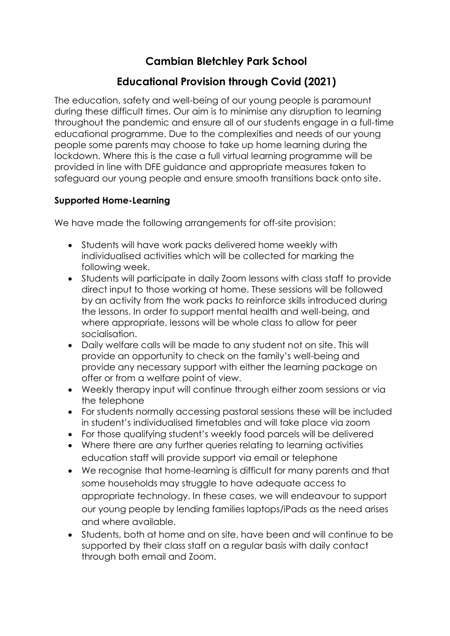# **Cambian Bletchley Park School**

## **Educational Provision through Covid (2021)**

The education, safety and well-being of our young people is paramount during these difficult times. Our aim is to minimise any disruption to learning throughout the pandemic and ensure all of our students engage in a full-time educational programme. Due to the complexities and needs of our young people some parents may choose to take up home learning during the lockdown. Where this is the case a full virtual learning programme will be provided in line with DFE guidance and appropriate measures taken to safeguard our young people and ensure smooth transitions back onto site.

### **Supported Home-Learning**

We have made the following arrangements for off-site provision:

- Students will have work packs delivered home weekly with individualised activities which will be collected for marking the following week.
- Students will participate in daily Zoom lessons with class staff to provide direct input to those working at home. These sessions will be followed by an activity from the work packs to reinforce skills introduced during the lessons. In order to support mental health and well-being, and where appropriate, lessons will be whole class to allow for peer socialisation.
- Daily welfare calls will be made to any student not on site. This will provide an opportunity to check on the family's well-being and provide any necessary support with either the learning package on offer or from a welfare point of view.
- Weekly therapy input will continue through either zoom sessions or via the telephone
- For students normally accessing pastoral sessions these will be included in student's individualised timetables and will take place via zoom
- For those qualifying student's weekly food parcels will be delivered
- Where there are any further queries relating to learning activities education staff will provide support via email or telephone
- We recognise that home-learning is difficult for many parents and that some households may struggle to have adequate access to appropriate technology. In these cases, we will endeavour to support our young people by lending families laptops/iPads as the need arises and where available.
- Students, both at home and on site, have been and will continue to be supported by their class staff on a regular basis with daily contact through both email and Zoom.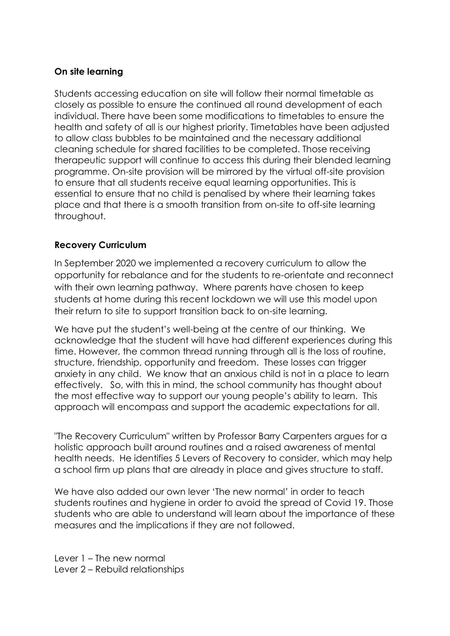### **On site learning**

Students accessing education on site will follow their normal timetable as closely as possible to ensure the continued all round development of each individual. There have been some modifications to timetables to ensure the health and safety of all is our highest priority. Timetables have been adjusted to allow class bubbles to be maintained and the necessary additional cleaning schedule for shared facilities to be completed. Those receiving therapeutic support will continue to access this during their blended learning programme. On-site provision will be mirrored by the virtual off-site provision to ensure that all students receive equal learning opportunities. This is essential to ensure that no child is penalised by where their learning takes place and that there is a smooth transition from on-site to off-site learning throughout.

### **Recovery Curriculum**

In September 2020 we implemented a recovery curriculum to allow the opportunity for rebalance and for the students to re-orientate and reconnect with their own learning pathway. Where parents have chosen to keep students at home during this recent lockdown we will use this model upon their return to site to support transition back to on-site learning.

We have put the student's well-being at the centre of our thinking. We acknowledge that the student will have had different experiences during this time. However, the common thread running through all is the loss of routine, structure, friendship, opportunity and freedom. These losses can trigger anxiety in any child. We know that an anxious child is not in a place to learn effectively. So, with this in mind, the school community has thought about the most effective way to support our young people's ability to learn. This approach will encompass and support the academic expectations for all.

"The Recovery Curriculum" written by Professor Barry Carpenters argues for a holistic approach built around routines and a raised awareness of mental health needs. He identifies 5 Levers of Recovery to consider, which may help a school firm up plans that are already in place and gives structure to staff.

We have also added our own lever 'The new normal' in order to teach students routines and hygiene in order to avoid the spread of Covid 19. Those students who are able to understand will learn about the importance of these measures and the implications if they are not followed.

Lever 1 – The new normal Lever 2 – Rebuild relationships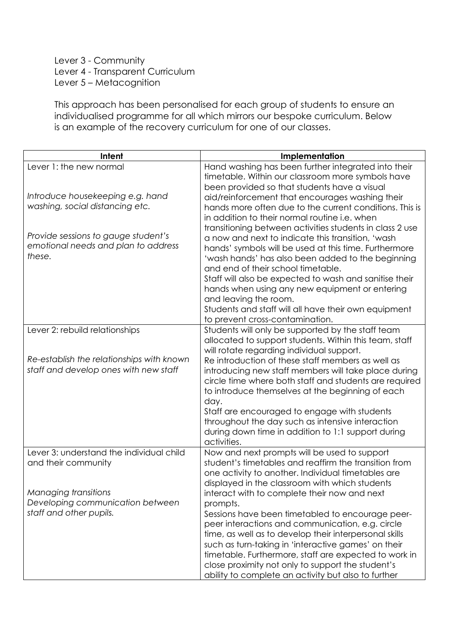### Lever 3 - Community Lever 4 - Transparent Curriculum Lever 5 – Metacognition

This approach has been personalised for each group of students to ensure an individualised programme for all which mirrors our bespoke curriculum. Below is an example of the recovery curriculum for one of our classes.

| Intent                                                                               | Implementation                                                                                                                                                                                                                                                                                                                                                                                                                                         |
|--------------------------------------------------------------------------------------|--------------------------------------------------------------------------------------------------------------------------------------------------------------------------------------------------------------------------------------------------------------------------------------------------------------------------------------------------------------------------------------------------------------------------------------------------------|
| Lever 1: the new normal                                                              | Hand washing has been further integrated into their<br>timetable. Within our classroom more symbols have<br>been provided so that students have a visual                                                                                                                                                                                                                                                                                               |
| Introduce housekeeping e.g. hand<br>washing, social distancing etc.                  | aid/reinforcement that encourages washing their<br>hands more often due to the current conditions. This is<br>in addition to their normal routine i.e. when<br>transitioning between activities students in class 2 use                                                                                                                                                                                                                                |
| Provide sessions to gauge student's<br>emotional needs and plan to address<br>these. | a now and next to indicate this transition, 'wash<br>hands' symbols will be used at this time. Furthermore<br>'wash hands' has also been added to the beginning<br>and end of their school timetable.<br>Staff will also be expected to wash and sanitise their<br>hands when using any new equipment or entering<br>and leaving the room.                                                                                                             |
|                                                                                      | Students and staff will all have their own equipment<br>to prevent cross-contamination.                                                                                                                                                                                                                                                                                                                                                                |
| Lever 2: rebuild relationships                                                       | Students will only be supported by the staff team<br>allocated to support students. Within this team, staff<br>will rotate regarding individual support.                                                                                                                                                                                                                                                                                               |
| Re-establish the relationships with known<br>staff and develop ones with new staff   | Re introduction of these staff members as well as<br>introducing new staff members will take place during<br>circle time where both staff and students are required<br>to introduce themselves at the beginning of each<br>day.<br>Staff are encouraged to engage with students<br>throughout the day such as intensive interaction<br>during down time in addition to 1:1 support during<br>activities.                                               |
| Lever 3: understand the individual child<br>and their community                      | Now and next prompts will be used to support<br>student's timetables and reaffirm the transition from<br>one activity to another. Individual timetables are<br>displayed in the classroom with which students                                                                                                                                                                                                                                          |
| Managing transitions<br>Developing communication between<br>staff and other pupils.  | interact with to complete their now and next<br>prompts.<br>Sessions have been timetabled to encourage peer-<br>peer interactions and communication, e.g. circle<br>time, as well as to develop their interpersonal skills<br>such as turn-taking in 'interactive games' on their<br>timetable. Furthermore, staff are expected to work in<br>close proximity not only to support the student's<br>ability to complete an activity but also to further |